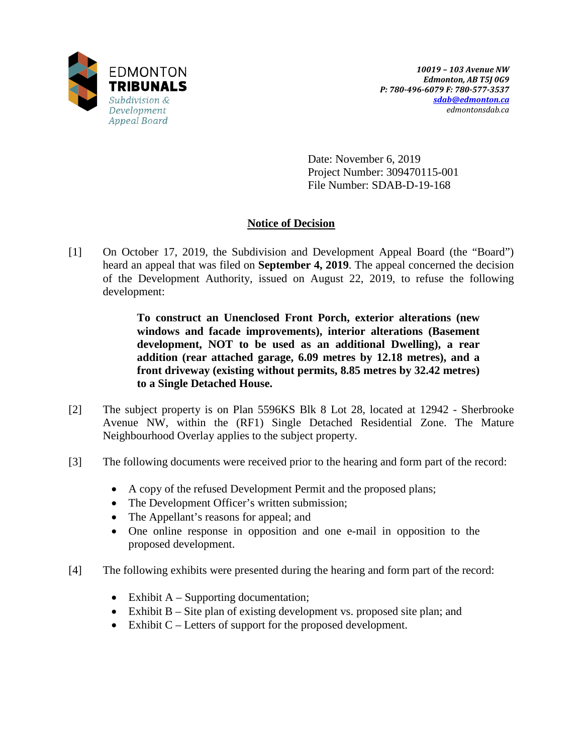

Date: November 6, 2019 Project Number: 309470115-001 File Number: SDAB-D-19-168

## **Notice of Decision**

[1] On October 17, 2019, the Subdivision and Development Appeal Board (the "Board") heard an appeal that was filed on **September 4, 2019**. The appeal concerned the decision of the Development Authority, issued on August 22, 2019, to refuse the following development:

> **To construct an Unenclosed Front Porch, exterior alterations (new windows and facade improvements), interior alterations (Basement development, NOT to be used as an additional Dwelling), a rear addition (rear attached garage, 6.09 metres by 12.18 metres), and a front driveway (existing without permits, 8.85 metres by 32.42 metres) to a Single Detached House.**

- [2] The subject property is on Plan 5596KS Blk 8 Lot 28, located at 12942 Sherbrooke Avenue NW, within the (RF1) Single Detached Residential Zone. The Mature Neighbourhood Overlay applies to the subject property.
- [3] The following documents were received prior to the hearing and form part of the record:
	- A copy of the refused Development Permit and the proposed plans;
	- The Development Officer's written submission;
	- The Appellant's reasons for appeal; and
	- One online response in opposition and one e-mail in opposition to the proposed development.
- [4] The following exhibits were presented during the hearing and form part of the record:
	- Exhibit  $A -$  Supporting documentation;
	- Exhibit B Site plan of existing development vs. proposed site plan; and
	- Exhibit C Letters of support for the proposed development.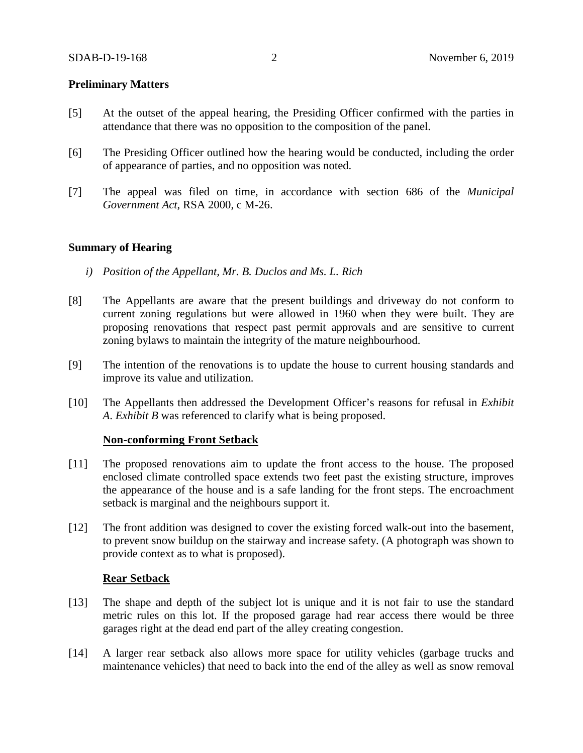## **Preliminary Matters**

- [5] At the outset of the appeal hearing, the Presiding Officer confirmed with the parties in attendance that there was no opposition to the composition of the panel.
- [6] The Presiding Officer outlined how the hearing would be conducted, including the order of appearance of parties, and no opposition was noted.
- [7] The appeal was filed on time, in accordance with section 686 of the *Municipal Government Act*, RSA 2000, c M-26.

#### **Summary of Hearing**

- *i) Position of the Appellant, Mr. B. Duclos and Ms. L. Rich*
- [8] The Appellants are aware that the present buildings and driveway do not conform to current zoning regulations but were allowed in 1960 when they were built. They are proposing renovations that respect past permit approvals and are sensitive to current zoning bylaws to maintain the integrity of the mature neighbourhood.
- [9] The intention of the renovations is to update the house to current housing standards and improve its value and utilization.
- [10] The Appellants then addressed the Development Officer's reasons for refusal in *Exhibit A*. *Exhibit B* was referenced to clarify what is being proposed.

#### **Non-conforming Front Setback**

- [11] The proposed renovations aim to update the front access to the house. The proposed enclosed climate controlled space extends two feet past the existing structure, improves the appearance of the house and is a safe landing for the front steps. The encroachment setback is marginal and the neighbours support it.
- [12] The front addition was designed to cover the existing forced walk-out into the basement, to prevent snow buildup on the stairway and increase safety. (A photograph was shown to provide context as to what is proposed).

#### **Rear Setback**

- [13] The shape and depth of the subject lot is unique and it is not fair to use the standard metric rules on this lot. If the proposed garage had rear access there would be three garages right at the dead end part of the alley creating congestion.
- [14] A larger rear setback also allows more space for utility vehicles (garbage trucks and maintenance vehicles) that need to back into the end of the alley as well as snow removal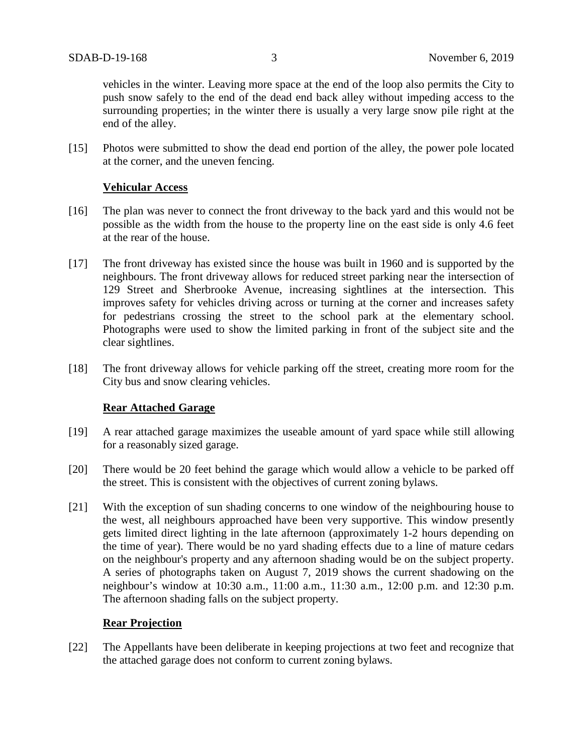vehicles in the winter. Leaving more space at the end of the loop also permits the City to push snow safely to the end of the dead end back alley without impeding access to the surrounding properties; in the winter there is usually a very large snow pile right at the end of the alley.

[15] Photos were submitted to show the dead end portion of the alley, the power pole located at the corner, and the uneven fencing.

## **Vehicular Access**

- [16] The plan was never to connect the front driveway to the back yard and this would not be possible as the width from the house to the property line on the east side is only 4.6 feet at the rear of the house.
- [17] The front driveway has existed since the house was built in 1960 and is supported by the neighbours. The front driveway allows for reduced street parking near the intersection of 129 Street and Sherbrooke Avenue, increasing sightlines at the intersection. This improves safety for vehicles driving across or turning at the corner and increases safety for pedestrians crossing the street to the school park at the elementary school. Photographs were used to show the limited parking in front of the subject site and the clear sightlines.
- [18] The front driveway allows for vehicle parking off the street, creating more room for the City bus and snow clearing vehicles.

## **Rear Attached Garage**

- [19] A rear attached garage maximizes the useable amount of yard space while still allowing for a reasonably sized garage.
- [20] There would be 20 feet behind the garage which would allow a vehicle to be parked off the street. This is consistent with the objectives of current zoning bylaws.
- [21] With the exception of sun shading concerns to one window of the neighbouring house to the west, all neighbours approached have been very supportive. This window presently gets limited direct lighting in the late afternoon (approximately 1-2 hours depending on the time of year). There would be no yard shading effects due to a line of mature cedars on the neighbour's property and any afternoon shading would be on the subject property. A series of photographs taken on August 7, 2019 shows the current shadowing on the neighbour's window at 10:30 a.m., 11:00 a.m., 11:30 a.m., 12:00 p.m. and 12:30 p.m. The afternoon shading falls on the subject property.

## **Rear Projection**

[22] The Appellants have been deliberate in keeping projections at two feet and recognize that the attached garage does not conform to current zoning bylaws.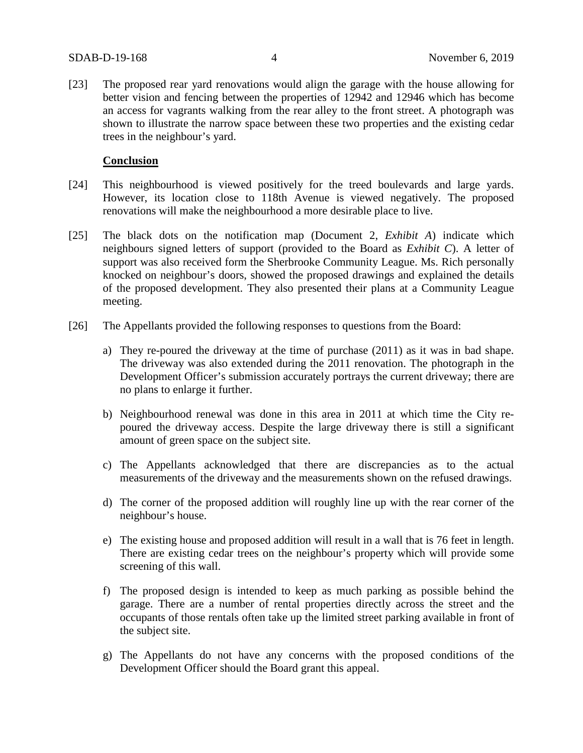[23] The proposed rear yard renovations would align the garage with the house allowing for better vision and fencing between the properties of 12942 and 12946 which has become an access for vagrants walking from the rear alley to the front street. A photograph was shown to illustrate the narrow space between these two properties and the existing cedar trees in the neighbour's yard.

#### **Conclusion**

- [24] This neighbourhood is viewed positively for the treed boulevards and large yards. However, its location close to 118th Avenue is viewed negatively. The proposed renovations will make the neighbourhood a more desirable place to live.
- [25] The black dots on the notification map (Document 2, *Exhibit A*) indicate which neighbours signed letters of support (provided to the Board as *Exhibit C*). A letter of support was also received form the Sherbrooke Community League. Ms. Rich personally knocked on neighbour's doors, showed the proposed drawings and explained the details of the proposed development. They also presented their plans at a Community League meeting.
- [26] The Appellants provided the following responses to questions from the Board:
	- a) They re-poured the driveway at the time of purchase (2011) as it was in bad shape. The driveway was also extended during the 2011 renovation. The photograph in the Development Officer's submission accurately portrays the current driveway; there are no plans to enlarge it further.
	- b) Neighbourhood renewal was done in this area in 2011 at which time the City repoured the driveway access. Despite the large driveway there is still a significant amount of green space on the subject site.
	- c) The Appellants acknowledged that there are discrepancies as to the actual measurements of the driveway and the measurements shown on the refused drawings.
	- d) The corner of the proposed addition will roughly line up with the rear corner of the neighbour's house.
	- e) The existing house and proposed addition will result in a wall that is 76 feet in length. There are existing cedar trees on the neighbour's property which will provide some screening of this wall.
	- f) The proposed design is intended to keep as much parking as possible behind the garage. There are a number of rental properties directly across the street and the occupants of those rentals often take up the limited street parking available in front of the subject site.
	- g) The Appellants do not have any concerns with the proposed conditions of the Development Officer should the Board grant this appeal.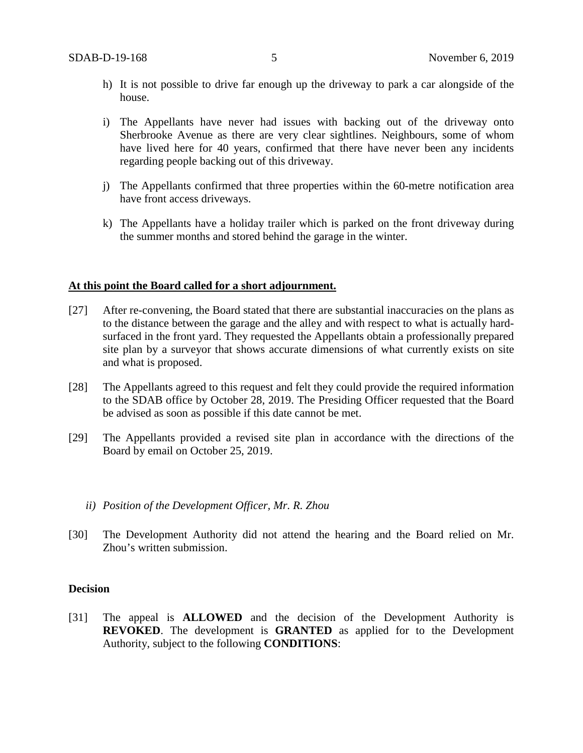- h) It is not possible to drive far enough up the driveway to park a car alongside of the house.
- i) The Appellants have never had issues with backing out of the driveway onto Sherbrooke Avenue as there are very clear sightlines. Neighbours, some of whom have lived here for 40 years, confirmed that there have never been any incidents regarding people backing out of this driveway.
- j) The Appellants confirmed that three properties within the 60-metre notification area have front access driveways.
- k) The Appellants have a holiday trailer which is parked on the front driveway during the summer months and stored behind the garage in the winter.

#### **At this point the Board called for a short adjournment.**

- [27] After re-convening, the Board stated that there are substantial inaccuracies on the plans as to the distance between the garage and the alley and with respect to what is actually hardsurfaced in the front yard. They requested the Appellants obtain a professionally prepared site plan by a surveyor that shows accurate dimensions of what currently exists on site and what is proposed.
- [28] The Appellants agreed to this request and felt they could provide the required information to the SDAB office by October 28, 2019. The Presiding Officer requested that the Board be advised as soon as possible if this date cannot be met.
- [29] The Appellants provided a revised site plan in accordance with the directions of the Board by email on October 25, 2019.

#### *ii) Position of the Development Officer, Mr. R. Zhou*

[30] The Development Authority did not attend the hearing and the Board relied on Mr. Zhou's written submission.

#### **Decision**

[31] The appeal is **ALLOWED** and the decision of the Development Authority is **REVOKED**. The development is **GRANTED** as applied for to the Development Authority, subject to the following **CONDITIONS**: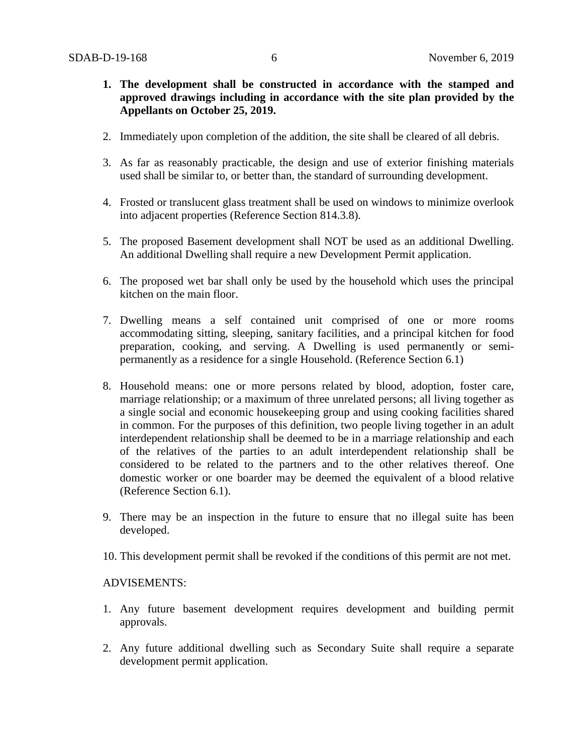- **1. The development shall be constructed in accordance with the stamped and approved drawings including in accordance with the site plan provided by the Appellants on October 25, 2019.**
- 2. Immediately upon completion of the addition, the site shall be cleared of all debris.
- 3. As far as reasonably practicable, the design and use of exterior finishing materials used shall be similar to, or better than, the standard of surrounding development.
- 4. Frosted or translucent glass treatment shall be used on windows to minimize overlook into adjacent properties (Reference Section 814.3.8).
- 5. The proposed Basement development shall NOT be used as an additional Dwelling. An additional Dwelling shall require a new Development Permit application.
- 6. The proposed wet bar shall only be used by the household which uses the principal kitchen on the main floor.
- 7. Dwelling means a self contained unit comprised of one or more rooms accommodating sitting, sleeping, sanitary facilities, and a principal kitchen for food preparation, cooking, and serving. A Dwelling is used permanently or semipermanently as a residence for a single Household. (Reference Section 6.1)
- 8. Household means: one or more persons related by blood, adoption, foster care, marriage relationship; or a maximum of three unrelated persons; all living together as a single social and economic housekeeping group and using cooking facilities shared in common. For the purposes of this definition, two people living together in an adult interdependent relationship shall be deemed to be in a marriage relationship and each of the relatives of the parties to an adult interdependent relationship shall be considered to be related to the partners and to the other relatives thereof. One domestic worker or one boarder may be deemed the equivalent of a blood relative (Reference Section 6.1).
- 9. There may be an inspection in the future to ensure that no illegal suite has been developed.
- 10. This development permit shall be revoked if the conditions of this permit are not met.

#### ADVISEMENTS:

- 1. Any future basement development requires development and building permit approvals.
- 2. Any future additional dwelling such as Secondary Suite shall require a separate development permit application.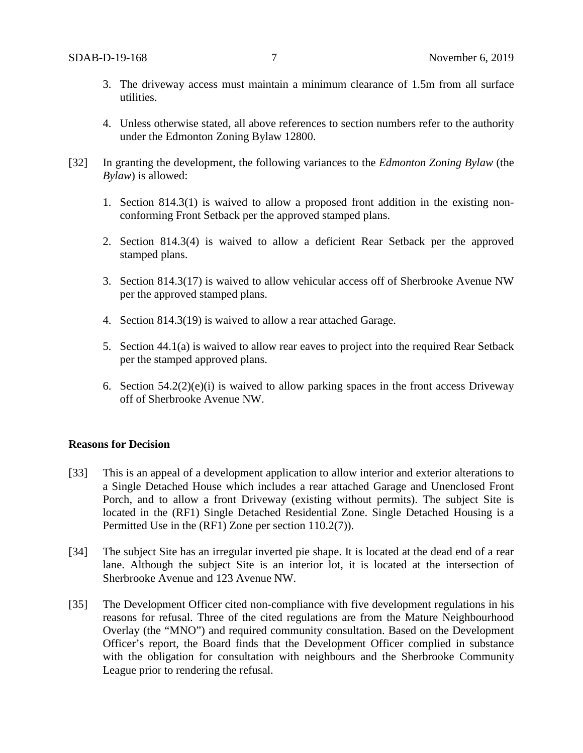- 3. The driveway access must maintain a minimum clearance of 1.5m from all surface utilities.
- 4. Unless otherwise stated, all above references to section numbers refer to the authority under the Edmonton Zoning Bylaw 12800.
- [32] In granting the development, the following variances to the *Edmonton Zoning Bylaw* (the *Bylaw*) is allowed:
	- 1. Section 814.3(1) is waived to allow a proposed front addition in the existing nonconforming Front Setback per the approved stamped plans.
	- 2. Section 814.3(4) is waived to allow a deficient Rear Setback per the approved stamped plans.
	- 3. Section 814.3(17) is waived to allow vehicular access off of Sherbrooke Avenue NW per the approved stamped plans.
	- 4. Section 814.3(19) is waived to allow a rear attached Garage.
	- 5. Section 44.1(a) is waived to allow rear eaves to project into the required Rear Setback per the stamped approved plans.
	- 6. Section 54.2(2)(e)(i) is waived to allow parking spaces in the front access Driveway off of Sherbrooke Avenue NW.

## **Reasons for Decision**

- [33] This is an appeal of a development application to allow interior and exterior alterations to a Single Detached House which includes a rear attached Garage and Unenclosed Front Porch, and to allow a front Driveway (existing without permits). The subject Site is located in the (RF1) Single Detached Residential Zone. Single Detached Housing is a Permitted Use in the (RF1) Zone per section 110.2(7)).
- [34] The subject Site has an irregular inverted pie shape. It is located at the dead end of a rear lane. Although the subject Site is an interior lot, it is located at the intersection of Sherbrooke Avenue and 123 Avenue NW.
- [35] The Development Officer cited non-compliance with five development regulations in his reasons for refusal. Three of the cited regulations are from the Mature Neighbourhood Overlay (the "MNO") and required community consultation. Based on the Development Officer's report, the Board finds that the Development Officer complied in substance with the obligation for consultation with neighbours and the Sherbrooke Community League prior to rendering the refusal.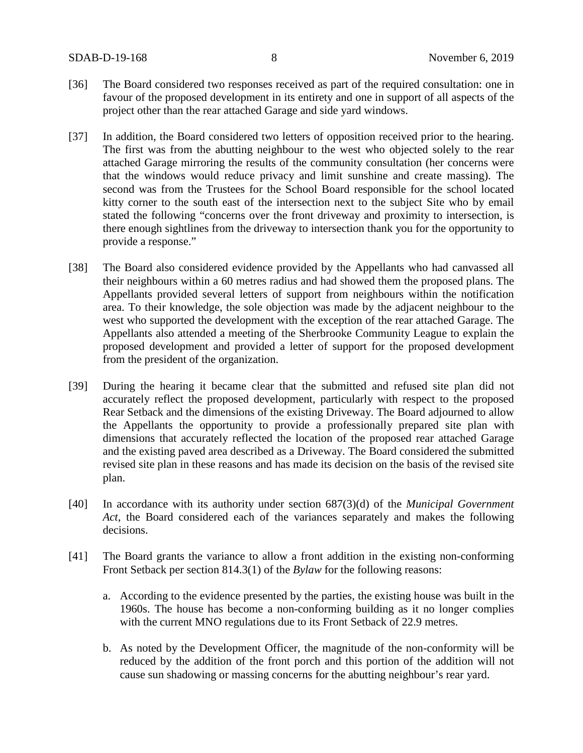- [36] The Board considered two responses received as part of the required consultation: one in favour of the proposed development in its entirety and one in support of all aspects of the project other than the rear attached Garage and side yard windows.
- [37] In addition, the Board considered two letters of opposition received prior to the hearing. The first was from the abutting neighbour to the west who objected solely to the rear attached Garage mirroring the results of the community consultation (her concerns were that the windows would reduce privacy and limit sunshine and create massing). The second was from the Trustees for the School Board responsible for the school located kitty corner to the south east of the intersection next to the subject Site who by email stated the following "concerns over the front driveway and proximity to intersection, is there enough sightlines from the driveway to intersection thank you for the opportunity to provide a response."
- [38] The Board also considered evidence provided by the Appellants who had canvassed all their neighbours within a 60 metres radius and had showed them the proposed plans. The Appellants provided several letters of support from neighbours within the notification area. To their knowledge, the sole objection was made by the adjacent neighbour to the west who supported the development with the exception of the rear attached Garage. The Appellants also attended a meeting of the Sherbrooke Community League to explain the proposed development and provided a letter of support for the proposed development from the president of the organization.
- [39] During the hearing it became clear that the submitted and refused site plan did not accurately reflect the proposed development, particularly with respect to the proposed Rear Setback and the dimensions of the existing Driveway. The Board adjourned to allow the Appellants the opportunity to provide a professionally prepared site plan with dimensions that accurately reflected the location of the proposed rear attached Garage and the existing paved area described as a Driveway. The Board considered the submitted revised site plan in these reasons and has made its decision on the basis of the revised site plan.
- [40] In accordance with its authority under section 687(3)(d) of the *Municipal Government Act*, the Board considered each of the variances separately and makes the following decisions.
- [41] The Board grants the variance to allow a front addition in the existing non-conforming Front Setback per section 814.3(1) of the *Bylaw* for the following reasons:
	- a. According to the evidence presented by the parties, the existing house was built in the 1960s. The house has become a non-conforming building as it no longer complies with the current MNO regulations due to its Front Setback of 22.9 metres.
	- b. As noted by the Development Officer, the magnitude of the non-conformity will be reduced by the addition of the front porch and this portion of the addition will not cause sun shadowing or massing concerns for the abutting neighbour's rear yard.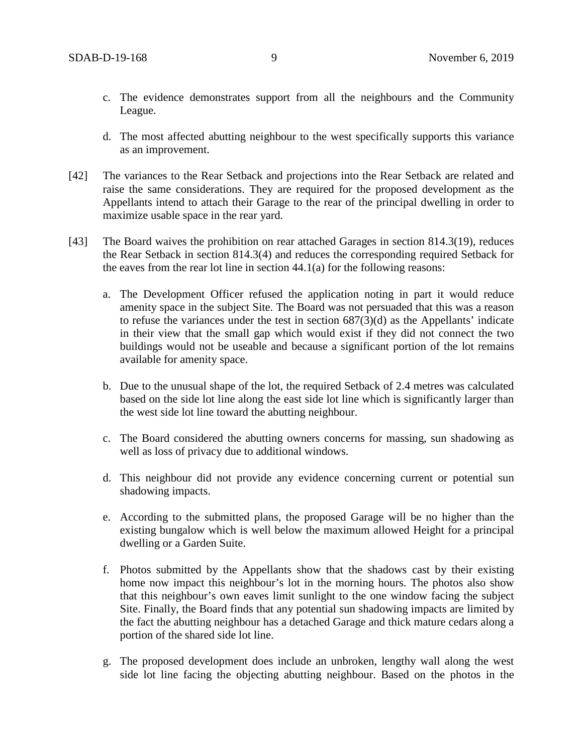- c. The evidence demonstrates support from all the neighbours and the Community League.
- d. The most affected abutting neighbour to the west specifically supports this variance as an improvement.
- [42] The variances to the Rear Setback and projections into the Rear Setback are related and raise the same considerations. They are required for the proposed development as the Appellants intend to attach their Garage to the rear of the principal dwelling in order to maximize usable space in the rear yard.
- [43] The Board waives the prohibition on rear attached Garages in section 814.3(19), reduces the Rear Setback in section 814.3(4) and reduces the corresponding required Setback for the eaves from the rear lot line in section 44.1(a) for the following reasons:
	- a. The Development Officer refused the application noting in part it would reduce amenity space in the subject Site. The Board was not persuaded that this was a reason to refuse the variances under the test in section 687(3)(d) as the Appellants' indicate in their view that the small gap which would exist if they did not connect the two buildings would not be useable and because a significant portion of the lot remains available for amenity space.
	- b. Due to the unusual shape of the lot, the required Setback of 2.4 metres was calculated based on the side lot line along the east side lot line which is significantly larger than the west side lot line toward the abutting neighbour.
	- c. The Board considered the abutting owners concerns for massing, sun shadowing as well as loss of privacy due to additional windows.
	- d. This neighbour did not provide any evidence concerning current or potential sun shadowing impacts.
	- e. According to the submitted plans, the proposed Garage will be no higher than the existing bungalow which is well below the maximum allowed Height for a principal dwelling or a Garden Suite.
	- f. Photos submitted by the Appellants show that the shadows cast by their existing home now impact this neighbour's lot in the morning hours. The photos also show that this neighbour's own eaves limit sunlight to the one window facing the subject Site. Finally, the Board finds that any potential sun shadowing impacts are limited by the fact the abutting neighbour has a detached Garage and thick mature cedars along a portion of the shared side lot line.
	- g. The proposed development does include an unbroken, lengthy wall along the west side lot line facing the objecting abutting neighbour. Based on the photos in the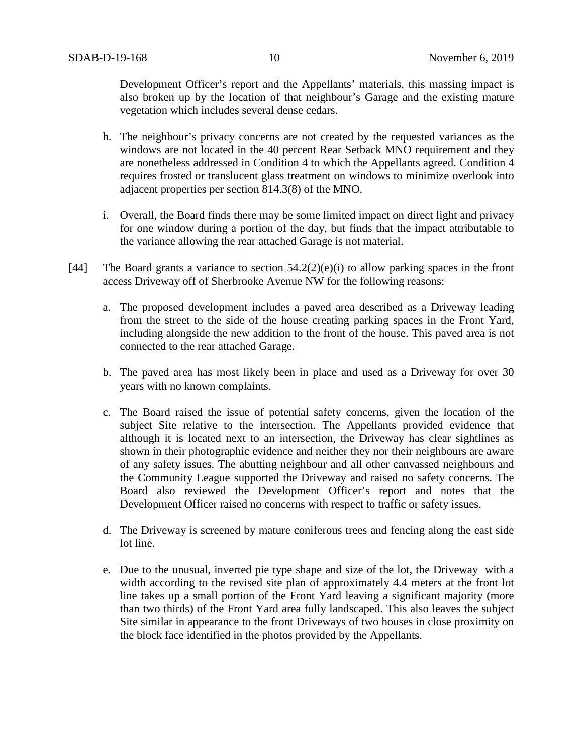Development Officer's report and the Appellants' materials, this massing impact is also broken up by the location of that neighbour's Garage and the existing mature vegetation which includes several dense cedars.

- h. The neighbour's privacy concerns are not created by the requested variances as the windows are not located in the 40 percent Rear Setback MNO requirement and they are nonetheless addressed in Condition 4 to which the Appellants agreed. Condition 4 requires frosted or translucent glass treatment on windows to minimize overlook into adjacent properties per section 814.3(8) of the MNO.
- i. Overall, the Board finds there may be some limited impact on direct light and privacy for one window during a portion of the day, but finds that the impact attributable to the variance allowing the rear attached Garage is not material.
- [44] The Board grants a variance to section  $54.2(2)(e)(i)$  to allow parking spaces in the front access Driveway off of Sherbrooke Avenue NW for the following reasons:
	- a. The proposed development includes a paved area described as a Driveway leading from the street to the side of the house creating parking spaces in the Front Yard, including alongside the new addition to the front of the house. This paved area is not connected to the rear attached Garage.
	- b. The paved area has most likely been in place and used as a Driveway for over 30 years with no known complaints.
	- c. The Board raised the issue of potential safety concerns, given the location of the subject Site relative to the intersection. The Appellants provided evidence that although it is located next to an intersection, the Driveway has clear sightlines as shown in their photographic evidence and neither they nor their neighbours are aware of any safety issues. The abutting neighbour and all other canvassed neighbours and the Community League supported the Driveway and raised no safety concerns. The Board also reviewed the Development Officer's report and notes that the Development Officer raised no concerns with respect to traffic or safety issues.
	- d. The Driveway is screened by mature coniferous trees and fencing along the east side lot line.
	- e. Due to the unusual, inverted pie type shape and size of the lot, the Driveway with a width according to the revised site plan of approximately 4.4 meters at the front lot line takes up a small portion of the Front Yard leaving a significant majority (more than two thirds) of the Front Yard area fully landscaped. This also leaves the subject Site similar in appearance to the front Driveways of two houses in close proximity on the block face identified in the photos provided by the Appellants.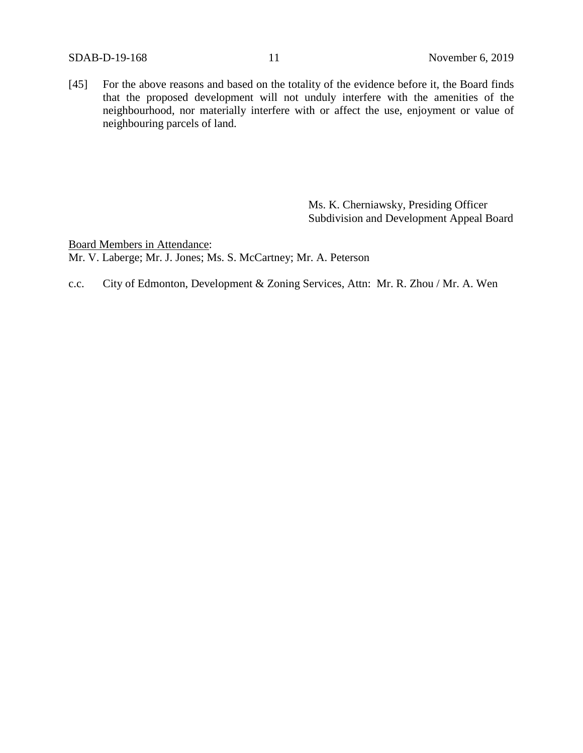[45] For the above reasons and based on the totality of the evidence before it, the Board finds that the proposed development will not unduly interfere with the amenities of the neighbourhood, nor materially interfere with or affect the use, enjoyment or value of neighbouring parcels of land.

> Ms. K. Cherniawsky, Presiding Officer Subdivision and Development Appeal Board

Board Members in Attendance: Mr. V. Laberge; Mr. J. Jones; Ms. S. McCartney; Mr. A. Peterson

c.c. City of Edmonton, Development & Zoning Services, Attn: Mr. R. Zhou / Mr. A. Wen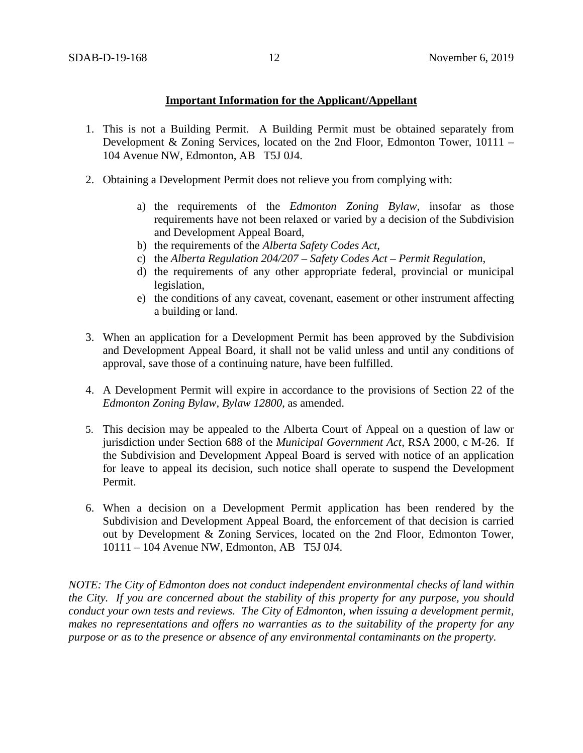## **Important Information for the Applicant/Appellant**

- 1. This is not a Building Permit. A Building Permit must be obtained separately from Development & Zoning Services, located on the 2nd Floor, Edmonton Tower, 10111 – 104 Avenue NW, Edmonton, AB T5J 0J4.
- 2. Obtaining a Development Permit does not relieve you from complying with:
	- a) the requirements of the *Edmonton Zoning Bylaw*, insofar as those requirements have not been relaxed or varied by a decision of the Subdivision and Development Appeal Board,
	- b) the requirements of the *Alberta Safety Codes Act*,
	- c) the *Alberta Regulation 204/207 – Safety Codes Act – Permit Regulation*,
	- d) the requirements of any other appropriate federal, provincial or municipal legislation,
	- e) the conditions of any caveat, covenant, easement or other instrument affecting a building or land.
- 3. When an application for a Development Permit has been approved by the Subdivision and Development Appeal Board, it shall not be valid unless and until any conditions of approval, save those of a continuing nature, have been fulfilled.
- 4. A Development Permit will expire in accordance to the provisions of Section 22 of the *Edmonton Zoning Bylaw, Bylaw 12800*, as amended.
- 5. This decision may be appealed to the Alberta Court of Appeal on a question of law or jurisdiction under Section 688 of the *Municipal Government Act*, RSA 2000, c M-26. If the Subdivision and Development Appeal Board is served with notice of an application for leave to appeal its decision, such notice shall operate to suspend the Development Permit.
- 6. When a decision on a Development Permit application has been rendered by the Subdivision and Development Appeal Board, the enforcement of that decision is carried out by Development & Zoning Services, located on the 2nd Floor, Edmonton Tower, 10111 – 104 Avenue NW, Edmonton, AB T5J 0J4.

*NOTE: The City of Edmonton does not conduct independent environmental checks of land within the City. If you are concerned about the stability of this property for any purpose, you should conduct your own tests and reviews. The City of Edmonton, when issuing a development permit, makes no representations and offers no warranties as to the suitability of the property for any purpose or as to the presence or absence of any environmental contaminants on the property.*